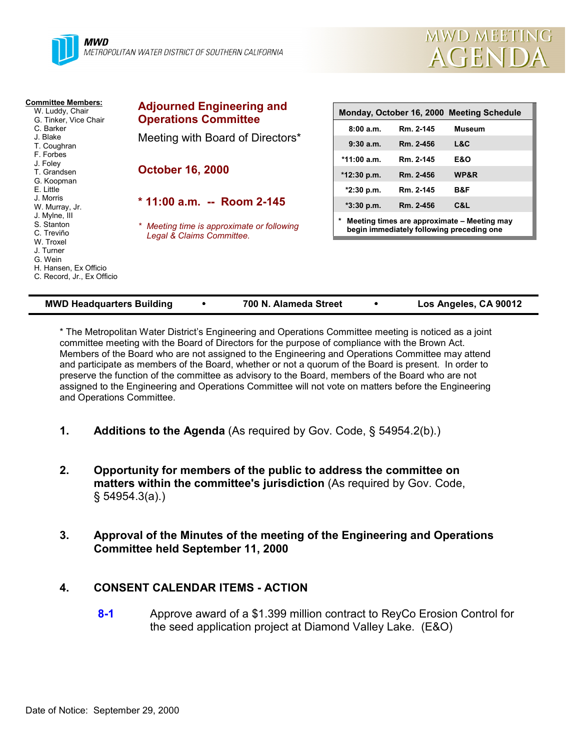



| <b>Committee Members:</b><br>W. Luddy, Chair<br>G. Tinker, Vice Chair                    | <b>Adjourned Engineering and</b><br><b>Operations Committee</b>         | Monday, October 16, 2000 Meeting Schedule                                                |           |                |
|------------------------------------------------------------------------------------------|-------------------------------------------------------------------------|------------------------------------------------------------------------------------------|-----------|----------------|
| C. Barker                                                                                |                                                                         | 8:00a.m.                                                                                 | Rm. 2-145 | <b>Museum</b>  |
| J. Blake<br>T. Coughran                                                                  | Meeting with Board of Directors*                                        | 9:30a.m.                                                                                 | Rm. 2-456 | L&C            |
| F. Forbes<br>J. Foley                                                                    |                                                                         | $*11:00 a.m.$                                                                            | Rm. 2-145 | <b>E&amp;O</b> |
| T. Grandsen<br>G. Koopman                                                                | <b>October 16, 2000</b>                                                 | *12:30 p.m.                                                                              | Rm. 2-456 | WP&R           |
| E. Little                                                                                |                                                                         | $*2:30$ p.m.                                                                             | Rm. 2-145 | B&F            |
| J. Morris<br>W. Murray, Jr.                                                              | $*$ 11:00 a.m. -- Room 2-145                                            | $*3:30$ p.m.                                                                             | Rm. 2-456 | C&L            |
| J. Mylne, III<br>S. Stanton<br>C. Treviño                                                | * Meeting time is approximate or following<br>Legal & Claims Committee. | Meeting times are approximate - Meeting may<br>begin immediately following preceding one |           |                |
| W. Troxel<br>J. Turner<br>G. Wein<br>H. Hansen, Ex Officio<br>C. Record, Jr., Ex Officio |                                                                         |                                                                                          |           |                |

| <b>MWD Headquarters Building</b> | 700 N. Alameda Street |  | Los Angeles, CA 90012 |
|----------------------------------|-----------------------|--|-----------------------|
|----------------------------------|-----------------------|--|-----------------------|

\* The Metropolitan Water District's Engineering and Operations Committee meeting is noticed as a joint committee meeting with the Board of Directors for the purpose of compliance with the Brown Act. Members of the Board who are not assigned to the Engineering and Operations Committee may attend and participate as members of the Board, whether or not a quorum of the Board is present. In order to preserve the function of the committee as advisory to the Board, members of the Board who are not assigned to the Engineering and Operations Committee will not vote on matters before the Engineering and Operations Committee.

- **1. Additions to the Agenda** (As required by Gov. Code, § 54954.2(b).)
- **2. Opportunity for members of the public to address the committee on matters within the committee's jurisdiction** (As required by Gov. Code, § 54954.3(a).)
- **3. Approval of the Minutes of the meeting of the Engineering and Operations Committee held September 11, 2000**

#### **4. CONSENT CALENDAR ITEMS - ACTION**

**8-1** Approve award of a \$1.399 million contract to ReyCo Erosion Control for the seed application project at Diamond Valley Lake. (E&O)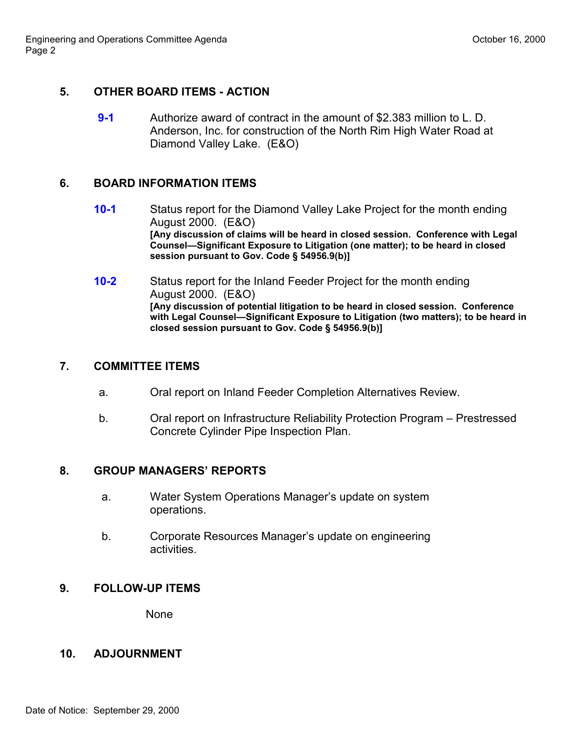## **5. OTHER BOARD ITEMS - ACTION**

**9-1** Authorize award of contract in the amount of \$2.383 million to L. D. Anderson, Inc. for construction of the North Rim High Water Road at Diamond Valley Lake. (E&O)

## **6. BOARD INFORMATION ITEMS**

- **10-1** Status report for the Diamond Valley Lake Project for the month ending August 2000. (E&O) **[Any discussion of claims will be heard in closed session. Conference with Legal Counsel—Significant Exposure to Litigation (one matter); to be heard in closed session pursuant to Gov. Code § 54956.9(b)]**
- **10-2** Status report for the Inland Feeder Project for the month ending August 2000. (E&O) **[Any discussion of potential litigation to be heard in closed session. Conference with Legal Counsel—Significant Exposure to Litigation (two matters); to be heard in closed session pursuant to Gov. Code § 54956.9(b)]**

## **7. COMMITTEE ITEMS**

- a. Oral report on Inland Feeder Completion Alternatives Review.
- b. Oral report on Infrastructure Reliability Protection Program Prestressed Concrete Cylinder Pipe Inspection Plan.

## **8. GROUP MANAGERS' REPORTS**

- a. Water System Operations Manager's update on system operations.
- b. Corporate Resources Manager's update on engineering activities.

# **9. FOLLOW-UP ITEMS**

None

## **10. ADJOURNMENT**